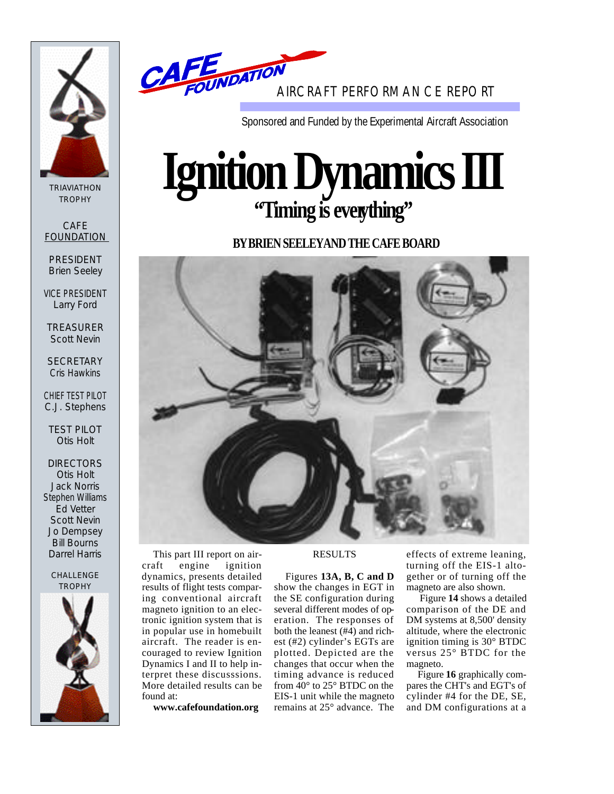

TRIAVIATHON **TROPHY** 

**CAFE** FOUNDATION

PRESIDENT Brien Seeley

VICE PRESIDENT Larry Ford

TREASURER Scott Nevin

**SECRETARY** Cris Hawkins

CHIEF TEST PILOT C.J. Stephens

TEST PILOT Otis Holt

**DIRECTORS** Otis Holt Jack Norris Stephen Williams Ed Vetter Scott Nevin Jo Dempsey Bill Bourns Darrel Harris

#### CHALLENGE **TROPHY**





Sponsored and Funded by the Experimental Aircraft Association

# **IgnitionDynamicsIII 'Timing is everything''**

**BY BRIEN SEELEYAND THE CAFE BOARD** 



This part III report on aircraft engine ignition dynamics, presents detailed results of flight tests comparing conventional aircraft magneto ignition to an electronic ignition system that is in popular use in homebuilt aircraft. The reader is encouraged to review Ignition Dynamics I and II to help interpret these discusssions. More detailed results can be found at:

**www.cafefoundation.org**

## RESULTS

Figures **13A, B, C and D** show the changes in EGT in the SE configuration during several different modes of operation. The responses of both the leanest (#4) and richest (#2) cylinder's EGTs are plotted. Depicted are the changes that occur when the timing advance is reduced from 40° to 25° BTDC on the EIS-1 unit while the magneto remains at 25° advance. The

e ffects of extreme leaning, turning off the EIS-1 altogether or of turning off the magneto are also shown.

Figure **14** shows a detailed comparison of the DE and DM systems at 8,500' density altitude, where the electronic ignition timing is 30° BTDC versus 25° BTDC for the magneto.

Figure **16** graphically compares the CHT's and EGT's of cylinder #4 for the DE, SE, and DM configurations at a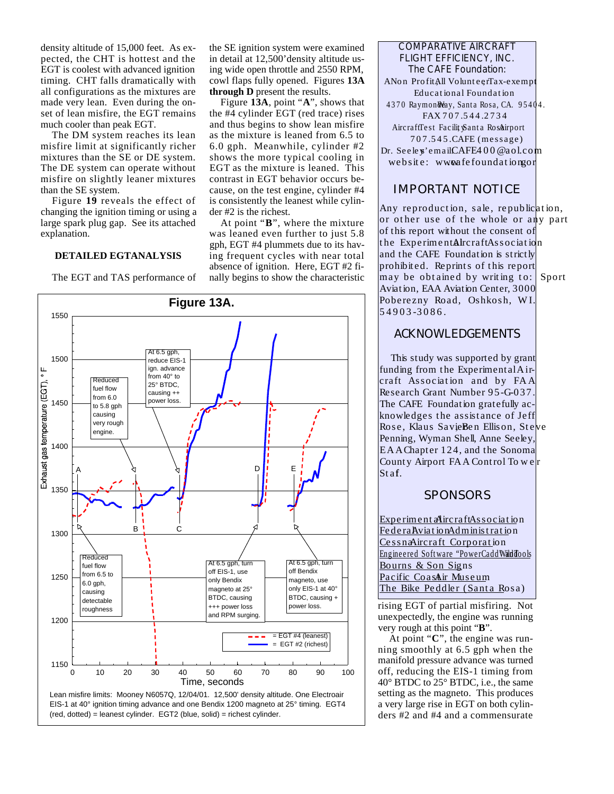density altitude of 15,000 feet. As expected, the CHT is hottest and the EGT is coolest with advanced ignition timing. CHT falls dramatically with all configurations as the mixtures are made very lean. Even during the onset of lean misfire, the EGT remains much cooler than peak EGT.

The DM system reaches its lean misfire limit at significantly richer mixtures than the SE or DE system. The DE system can operate without misfire on slightly leaner mixtures than the SE system.

Figure 19 reveals the effect of changing the ignition timing or using a large spark plug gap. See its attached explanation.

#### **DETAILED EGTANALYSIS**

The EGT and TAS performance of

the SE ignition system were examined in detail at 12,500'density altitude using wide open throttle and 2550 RPM, cowl flaps fully opened. Figures 13A **through D** present the results.

Figure 13A, point "A", shows that the #4 cylinder EGT (red trace) rises and thus begins to show lean misfire as the mixture is leaned from 6.5 to 6.0 gph. Meanwhile, cylinder #2 shows the more typical cooling in EGT as the mixture is leaned. This contrast in EGT behavior occurs because, on the test engine, cylinder #4 is consistently the leanest while cylinder #2 is the richest.

At point "**B**", where the mixture was leaned even further to just 5.8 gph, EGT #4 plummets due to its having frequent cycles with near total absence of ignition. Here, EGT #2 finally begins to show the characteristic



COMPARATIVE AIRCRAFT FLIGHT EFFICIENCY, INC. The CAFE Foundation: ANon ProfitAll VolunteerTax-exempt Educational Foundation 4370 Raymon Way, Santa Rosa, CA. 95404. FAX 707.544.2734 AircraffTest FacilitySanta Rosa irport 707.545.CAFE (message) Dr. Seeley'emailCAFE400@aol.com website: www.afefoundation.com

# IMPORTANT NOTICE

Any reproduction, sale, republication, or other use of the whole or any part of this report without the consent of the ExperimentAircraftAssociation and the CAFE Foundation is strictly prohibited. Reprints of this report may be obtained by writing to: Sport Aviation, EAA Aviation Center, 3000 Poberezny Road, Oshkosh, WI. 54903-3086.

# **ACKNOWLEDGEMENTS**

This study was supported by grant funding from the Experimental Aircraft Association and by FA A Research Grant Number 95-G-037. The CAFE Foundation gratefully acknowledges the assistance of Jeff Rose, Klaus SavieBen Ellison, Steve Penning, Wyman Shell, Anne Seeley, E A AChapter 124, and the Sonoma County Airport FA A Control To w e r Staf.

# **SPONSORS**

Experiment a Aircraft Association Federa Aviation Administration CessnaAircraft Corporation Engineered Software "PowerCadd WildTools Bourns & Son Signs Pacific CoasAir Museum The Bike Peddler (Santa Rosa)

rising EGT of partial misfiring. Not unexpectedly, the engine was running very rough at this point "**B**".

At point "**C**", the engine was running smoothly at 6.5 gph when the manifold pressure advance was turned o ff, reducing the EIS-1 timing from 40° BTDC to 25° BTDC, i.e., the same setting as the magneto. This produces a very large rise in EGT on both cylinders #2 and #4 and a commensurate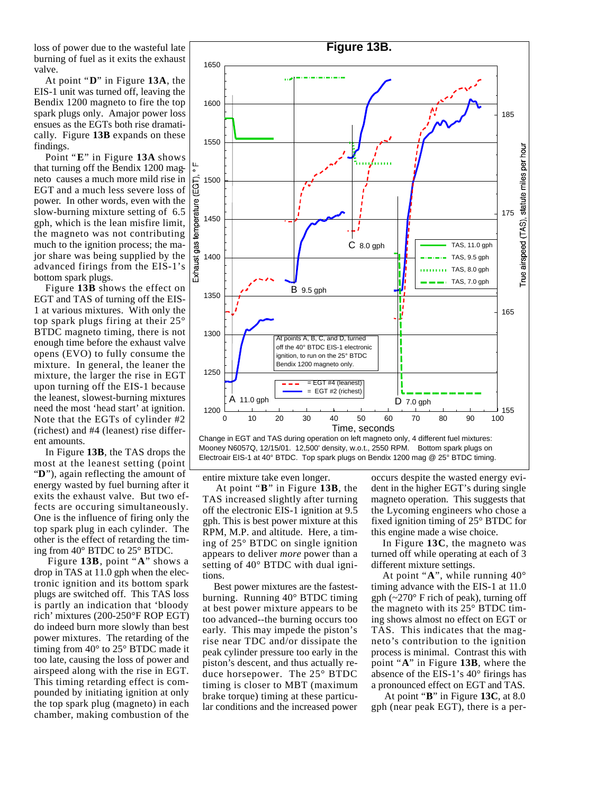loss of power due to the wasteful late burning of fuel as it exits the exhaust valve.

At point "D" in Figure 13A, the EIS-1 unit was turned off, leaving the Bendix 1200 magneto to fire the top spark plugs only. Amajor power loss ensues as the EGTs both rise dramatically. Figure 13B expands on these findings.

Point "E" in Figure 13A shows that turning off the Bendix 1200 magneto causes a much more mild rise in EGT and a much less severe loss of power. In other words, even with the slow-burning mixture setting of 6.5 gph, which is the lean misfire limit, the magneto was not contributing much to the ignition process; the major share was being supplied by the advanced firings from the EIS-1's bottom spark plugs.

Figure 13B shows the effect on EGT and TAS of turning off the EIS-1 at various mixtures. With only the top spark plugs firing at their 25° BTDC magneto timing, there is not enough time before the exhaust valve opens (EVO) to fully consume the mixture. In general, the leaner the mixture, the larger the rise in EGT upon turning off the EIS-1 because the leanest, slowest-burning mixtures need the most 'head start' at ignition. Note that the EGTs of cylinder #2  $(richeck)$  and #4 (leanest) rise different amounts.

In Figure 13B, the TAS drops the most at the leanest setting (point "**D**"), again reflecting the amount of energy wasted by fuel burning after it exits the exhaust valve. But two effects are occuring simultaneously. One is the influence of firing only the top spark plug in each cylinder. The other is the effect of retarding the timing from 40° BTDC to 25° BTDC.

Figure 13B, point "A" shows a drop in TAS at 11.0 gph when the electronic ignition and its bottom spark plugs are switched off. This TAS loss is partly an indication that 'bloody rich' mixtures (200-250 $\degree$ F ROP EGT) do indeed burn more slowly than best power mixtures. The retarding of the timing from 40° to 25° BTDC made it too late, causing the loss of power and airspeed along with the rise in EGT. This timing retarding effect is compounded by initiating ignition at only the top spark plug (magneto) in each chamber, making combustion of the





entire mixture take even longer.

At point "**B**" in Figure 13B, the TAS increased slightly after turning off the electronic EIS-1 ignition at 9.5 gph. This is best power mixture at this RPM, M.P. and altitude. Here, a timing of 25° BTDC on single ignition appears to deliver *more* power than a setting of 40° BTDC with dual ignitions.

Best power mixtures are the fastestburning. Running 40° BTDC timing at best power mixture appears to be too advanced--the burning occurs too early. This may impede the piston's rise near TDC and/or dissipate the peak cylinder pressure too early in the piston's descent, and thus actually reduce horsepower. The 25° BTDC timing is closer to MBT (maximum brake torque) timing at these particular conditions and the increased power

occurs despite the wasted energy evident in the higher EGT's during single magneto operation. This suggests that the Lycoming engineers who chose a fixed ignition timing of 25° BTDC for this engine made a wise choice.

In Figure 13C, the magneto was turned off while operating at each of 3 different mixture settings.

At point "**A**", while running 40° timing advance with the EIS-1 at 11.0 gph  $(-270^{\circ}$  F rich of peak), turning off the magneto with its 25° BTDC timing shows almost no effect on EGT or TAS. This indicates that the magneto's contribution to the ignition process is minimal. Contrast this with point "A" in Figure 13B, where the absence of the EIS-1's 40° firings has a pronounced effect on EGT and TAS.

At point " $\mathbf{B}$ " in Figure 13C, at 8.0 gph (near peak EGT), there is a per-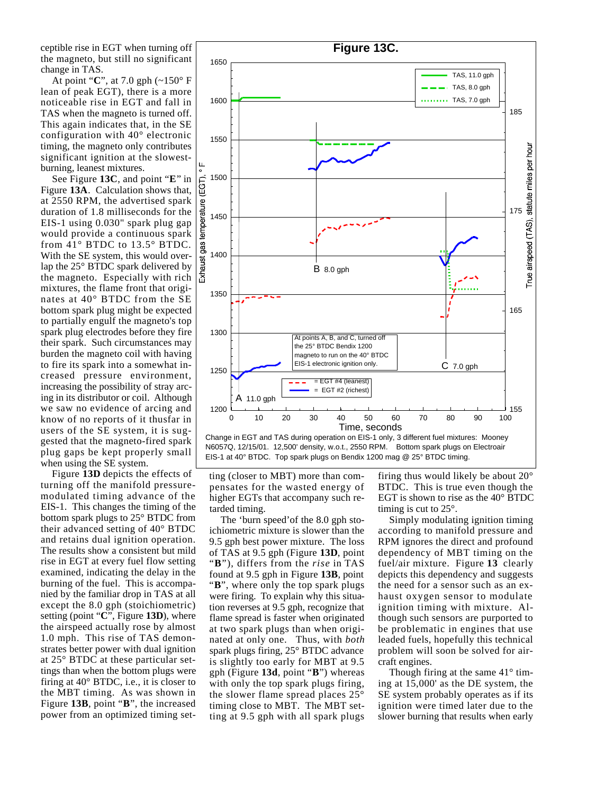ceptible rise in EGT when turning off the magneto, but still no significant change in TAS.

At point "**C**", at 7.0 gph (~150° F lean of peak EGT), there is a more noticeable rise in EGT and fall in TAS when the magneto is turned off. This again indicates that, in the SE configuration with 40° electronic timing, the magneto only contributes significant ignition at the slowestburning, leanest mixtures.

See Figure 13C, and point "**E**" in Figure 13A. Calculation shows that, at 2550 RPM, the advertised spark duration of 1.8 milliseconds for the EIS-1 using 0.030" spark plug gap would provide a continuous spark from 41° BTDC to 13.5° BTDC. With the SE system, this would overlap the 25° BTDC spark delivered by the magneto. Especially with rich mixtures, the flame front that originates at 40° BTDC from the SE bottom spark plug might be expected to partially engulf the magneto's top spark plug electrodes before they fire their spark. Such circumstances may burden the magneto coil with having to fire its spark into a somewhat increased pressure environment, increasing the possibility of stray arcing in its distributor or coil. Although we saw no evidence of arcing and know of no reports of it thusfar in users of the SE system, it is suggested that the magneto-fired spark plug gaps be kept properly small when using the SE system.

Figure 13D depicts the effects of turning off the manifold pressuremodulated timing advance of the EIS-1. This changes the timing of the bottom spark plugs to 25° BTDC from their advanced setting of 40° BTDC and retains dual ignition operation. The results show a consistent but mild rise in EGT at every fuel flow setting examined, indicating the delay in the burning of the fuel. This is accompanied by the familiar drop in TAS at all except the 8.0 gph (stoichiometric) setting (point "**C**", Figure **13D**), where the airspeed actually rose by almost 1.0 mph. This rise of TAS demonstrates better power with dual ignition at 25° BTDC at these particular settings than when the bottom plugs were firing at 40° BTDC, i.e., it is closer to the MBT timing. As was shown in Figure 13B, point "B", the increased power from an optimized timing set-





ting (closer to MBT) more than compensates for the wasted energy of higher EGTs that accompany such retarded timing.

The 'burn speed'of the 8.0 gph stoichiometric mixture is slower than the 9.5 gph best power mixture. The loss of TAS at 9.5 gph (Figure 13D, point "B"), differs from the *rise* in TAS found at 9.5 gph in Figure 13B, point "**B**", where only the top spark plugs were firing. To explain why this situation reverses at 9.5 gph, recognize that flame spread is faster when originated at two spark plugs than when originated at only one. Thus, with *both* spark plugs firing, 25° BTDC advance is slightly too early for MBT at 9.5 gph (Figure 13d, point "B") whereas with only the top spark plugs firing, the slower flame spread places 25° timing close to MBT. The MBT setting at 9.5 gph with all spark plugs

firing thus would likely be about 20° BTDC. This is true even though the EGT is shown to rise as the 40° BTDC timing is cut to 25°.

Simply modulating ignition timing according to manifold pressure and RPM ignores the direct and profound dependency of MBT timing on the fuel/air mixture. Figure 13 clearly depicts this dependency and suggests the need for a sensor such as an exhaust oxygen sensor to modulate ignition timing with mixture. Although such sensors are purported to be problematic in engines that use leaded fuels, hopefully this technical problem will soon be solved for aircraft engines.

Though firing at the same 41° timing at 15,000' as the DE system, the SE system probably operates as if its ignition were timed later due to the slower burning that results when early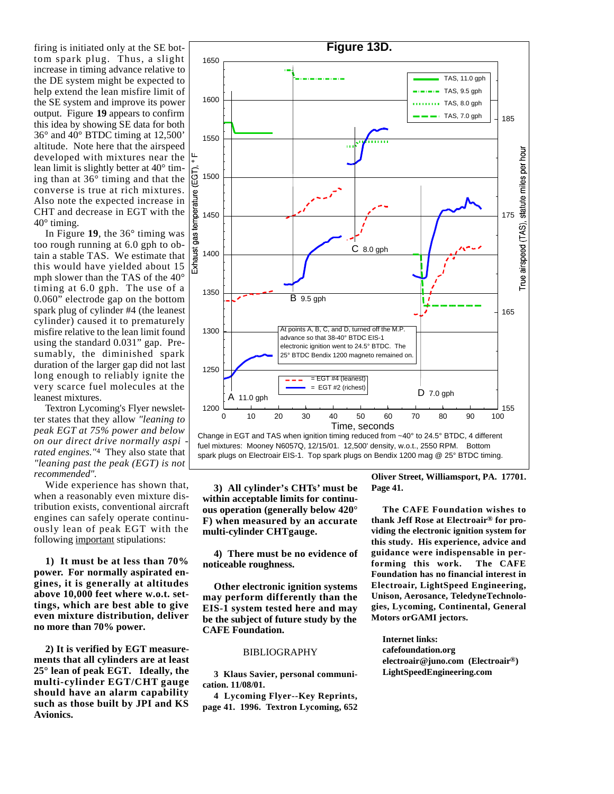firing is initiated only at the SE bottom spark plug. Thus, a slight increase in timing advance relative to the DE system might be expected to help extend the lean misfire limit of the SE system and improve its power output. Figure 19 appears to confirm this idea by showing SE data for both 36° and 40° BTDC timing at 12,500' altitude. Note here that the airspeed developed with mixtures near the lean limit is slightly better at 40° timing than at 36° timing and that the converse is true at rich mixtures. Also note the expected increase in CHT and decrease in EGT with the 40° timing.

In Figure  $19$ , the  $36^\circ$  timing was too rough running at 6.0 gph to obtain a stable TAS. We estimate that this would have yielded about 15 mph slower than the TAS of the 40° timing at 6.0 gph. The use of a 0.060" electrode gap on the bottom spark plug of cylinder #4 (the leanest cylinder) caused it to prematurely misfire relative to the lean limit found using the standard 0.031" gap. Presumably, the diminished spark duration of the larger gap did not last long enough to reliably ignite the very scarce fuel molecules at the leanest mixtures.

Textron Lycoming's Flyer newsletter states that they allow *"leaning to peak EGT at 75% power and below on our direct drive normally aspi rated engines."*<sup>4</sup> They also state that *"leaning past the peak (EGT) is not recommended"*.

Wide experience has shown that, when a reasonably even mixture distribution exists, conventional aircraft engines can safely operate continuously lean of peak EGT with the following important stipulations:

**1) It must be at less than 70%** power. For normally aspirated en**gines, it is generally at altitudes above 10,000 feet where w.o.t. settings, which are best able to give even mixture distribution, deliver no more than 70% power.**

2) It is verified by EGT measure**ments that all cylinders are at least 25° lean of peak EGT. Ideally, the** multi-cylinder EGT/CHT gauge **should have an alarm capability such as those built by JPI and KS Avionics.**





**3) All cylinder's CHTs ' must be** within acceptable limits for continu**ous operation (generally below 420° F) when measured by an accurate multi-cylinder CHTgauge.**

**4)** There must be no evidence of **noticeable roughness.**

**Other electronic ignition systems** may perform differently than the **EIS-1 system tested here and may be the subject of future study by the CAFE Foundation.** 

#### BIBLIOGRAPHY

**3 Klaus Savier, personal communication. 11/08/01.**

**4 Lycoming Flyer--Key Reprints,** page 41. 1996. Textron Lycoming, 652 **Oliver Street, Williamsport, PA. 17701. Page 41.**

**The CAFE Foundation wishes to thank Jeff Rose at Electroair<sup>®</sup> for providing the electronic ignition system for this study. His experience, advice and guidance were indispensable in performing this work. The CAFE Foundation has no financial interest in** Electroair, LightSpeed Engineering, Unison, Aerosance, TeledyneTechnolo**gies, Lycoming, Continental, General Motors orGAMI jectors.** 

**Internet links: cafefoundation.org electroair@juno.com (Electroair®) LightSpeedEngineering.com**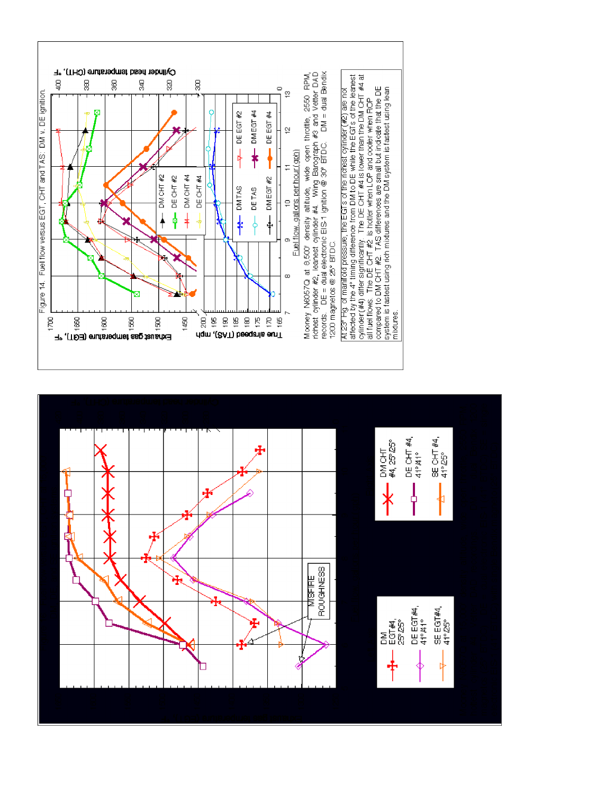